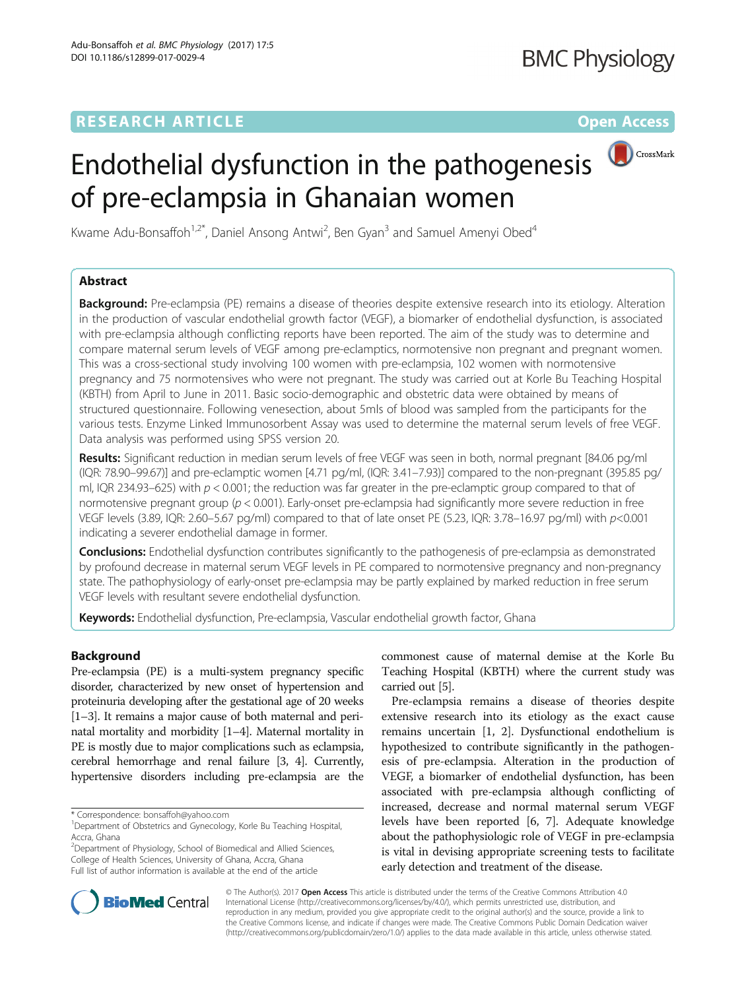# **RESEARCH ARTICLE Example 2014 12:30 The Contract of Contract ACCESS**

# CrossMark



# Endothelial dysfunction in the pathogenesis of pre-eclampsia in Ghanaian women

Kwame Adu-Bonsaffoh<sup>1,2\*</sup>, Daniel Ansong Antwi<sup>2</sup>, Ben Gyan<sup>3</sup> and Samuel Amenyi Obed<sup>4</sup>

# Abstract

**Background:** Pre-eclampsia (PE) remains a disease of theories despite extensive research into its etiology. Alteration in the production of vascular endothelial growth factor (VEGF), a biomarker of endothelial dysfunction, is associated with pre-eclampsia although conflicting reports have been reported. The aim of the study was to determine and compare maternal serum levels of VEGF among pre-eclamptics, normotensive non pregnant and pregnant women. This was a cross-sectional study involving 100 women with pre-eclampsia, 102 women with normotensive pregnancy and 75 normotensives who were not pregnant. The study was carried out at Korle Bu Teaching Hospital (KBTH) from April to June in 2011. Basic socio-demographic and obstetric data were obtained by means of structured questionnaire. Following venesection, about 5mls of blood was sampled from the participants for the various tests. Enzyme Linked Immunosorbent Assay was used to determine the maternal serum levels of free VEGF. Data analysis was performed using SPSS version 20.

Results: Significant reduction in median serum levels of free VEGF was seen in both, normal pregnant [84.06 pg/ml (IQR: 78.90–99.67)] and pre-eclamptic women [4.71 pg/ml, (IQR: 3.41–7.93)] compared to the non-pregnant (395.85 pg/ ml, IQR 234.93–625) with  $p < 0.001$ ; the reduction was far greater in the pre-eclamptic group compared to that of normotensive pregnant group ( $p < 0.001$ ). Early-onset pre-eclampsia had significantly more severe reduction in free VEGF levels (3.89, IQR: 2.60–5.67 pg/ml) compared to that of late onset PE (5.23, IQR: 3.78–16.97 pg/ml) with p<0.001 indicating a severer endothelial damage in former.

Conclusions: Endothelial dysfunction contributes significantly to the pathogenesis of pre-eclampsia as demonstrated by profound decrease in maternal serum VEGF levels in PE compared to normotensive pregnancy and non-pregnancy state. The pathophysiology of early-onset pre-eclampsia may be partly explained by marked reduction in free serum VEGF levels with resultant severe endothelial dysfunction.

Keywords: Endothelial dysfunction, Pre-eclampsia, Vascular endothelial growth factor, Ghana

# Background

Pre-eclampsia (PE) is a multi-system pregnancy specific disorder, characterized by new onset of hypertension and proteinuria developing after the gestational age of 20 weeks [[1](#page-7-0)–[3\]](#page-7-0). It remains a major cause of both maternal and perinatal mortality and morbidity [\[1](#page-7-0)–[4](#page-7-0)]. Maternal mortality in PE is mostly due to major complications such as eclampsia, cerebral hemorrhage and renal failure [[3](#page-7-0), [4](#page-7-0)]. Currently, hypertensive disorders including pre-eclampsia are the

<sup>2</sup>Department of Physiology, School of Biomedical and Allied Sciences, College of Health Sciences, University of Ghana, Accra, Ghana Full list of author information is available at the end of the article

commonest cause of maternal demise at the Korle Bu Teaching Hospital (KBTH) where the current study was carried out [\[5\]](#page-7-0).

Pre-eclampsia remains a disease of theories despite extensive research into its etiology as the exact cause remains uncertain [\[1](#page-7-0), [2](#page-7-0)]. Dysfunctional endothelium is hypothesized to contribute significantly in the pathogenesis of pre-eclampsia. Alteration in the production of VEGF, a biomarker of endothelial dysfunction, has been associated with pre-eclampsia although conflicting of increased, decrease and normal maternal serum VEGF levels have been reported [[6](#page-7-0), [7\]](#page-7-0). Adequate knowledge about the pathophysiologic role of VEGF in pre-eclampsia is vital in devising appropriate screening tests to facilitate early detection and treatment of the disease.



© The Author(s). 2017 **Open Access** This article is distributed under the terms of the Creative Commons Attribution 4.0 International License [\(http://creativecommons.org/licenses/by/4.0/](http://creativecommons.org/licenses/by/4.0/)), which permits unrestricted use, distribution, and reproduction in any medium, provided you give appropriate credit to the original author(s) and the source, provide a link to the Creative Commons license, and indicate if changes were made. The Creative Commons Public Domain Dedication waiver [\(http://creativecommons.org/publicdomain/zero/1.0/](http://creativecommons.org/publicdomain/zero/1.0/)) applies to the data made available in this article, unless otherwise stated.

<sup>\*</sup> Correspondence: [bonsaffoh@yahoo.com](mailto:bonsaffoh@yahoo.com) <sup>1</sup>

<sup>&</sup>lt;sup>1</sup>Department of Obstetrics and Gynecology, Korle Bu Teaching Hospital, Accra, Ghana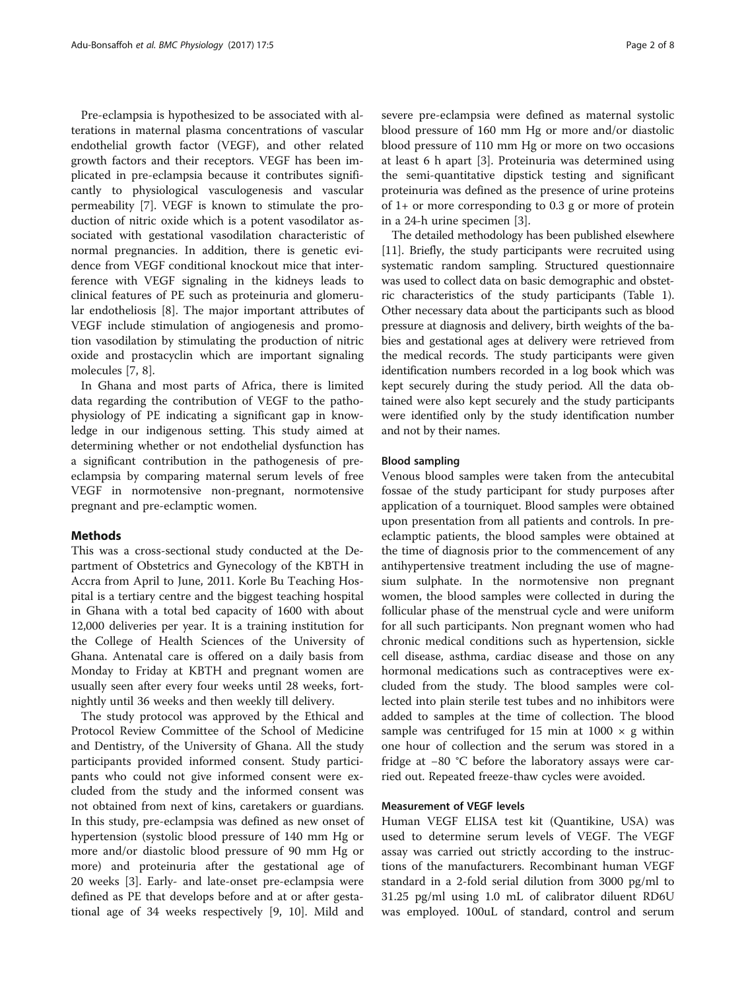Pre-eclampsia is hypothesized to be associated with alterations in maternal plasma concentrations of vascular endothelial growth factor (VEGF), and other related growth factors and their receptors. VEGF has been implicated in pre-eclampsia because it contributes significantly to physiological vasculogenesis and vascular permeability [[7\]](#page-7-0). VEGF is known to stimulate the production of nitric oxide which is a potent vasodilator associated with gestational vasodilation characteristic of normal pregnancies. In addition, there is genetic evidence from VEGF conditional knockout mice that interference with VEGF signaling in the kidneys leads to clinical features of PE such as proteinuria and glomerular endotheliosis [\[8\]](#page-7-0). The major important attributes of VEGF include stimulation of angiogenesis and promotion vasodilation by stimulating the production of nitric oxide and prostacyclin which are important signaling molecules [[7, 8](#page-7-0)].

In Ghana and most parts of Africa, there is limited data regarding the contribution of VEGF to the pathophysiology of PE indicating a significant gap in knowledge in our indigenous setting. This study aimed at determining whether or not endothelial dysfunction has a significant contribution in the pathogenesis of preeclampsia by comparing maternal serum levels of free VEGF in normotensive non-pregnant, normotensive pregnant and pre-eclamptic women.

# **Methods**

This was a cross-sectional study conducted at the Department of Obstetrics and Gynecology of the KBTH in Accra from April to June, 2011. Korle Bu Teaching Hospital is a tertiary centre and the biggest teaching hospital in Ghana with a total bed capacity of 1600 with about 12,000 deliveries per year. It is a training institution for the College of Health Sciences of the University of Ghana. Antenatal care is offered on a daily basis from Monday to Friday at KBTH and pregnant women are usually seen after every four weeks until 28 weeks, fortnightly until 36 weeks and then weekly till delivery.

The study protocol was approved by the Ethical and Protocol Review Committee of the School of Medicine and Dentistry, of the University of Ghana. All the study participants provided informed consent. Study participants who could not give informed consent were excluded from the study and the informed consent was not obtained from next of kins, caretakers or guardians. In this study, pre-eclampsia was defined as new onset of hypertension (systolic blood pressure of 140 mm Hg or more and/or diastolic blood pressure of 90 mm Hg or more) and proteinuria after the gestational age of 20 weeks [[3\]](#page-7-0). Early- and late-onset pre-eclampsia were defined as PE that develops before and at or after gestational age of 34 weeks respectively [\[9, 10](#page-7-0)]. Mild and severe pre-eclampsia were defined as maternal systolic blood pressure of 160 mm Hg or more and/or diastolic blood pressure of 110 mm Hg or more on two occasions at least 6 h apart [[3\]](#page-7-0). Proteinuria was determined using the semi-quantitative dipstick testing and significant proteinuria was defined as the presence of urine proteins of 1+ or more corresponding to 0.3 g or more of protein in a 24-h urine specimen [[3](#page-7-0)].

The detailed methodology has been published elsewhere [[11](#page-7-0)]. Briefly, the study participants were recruited using systematic random sampling. Structured questionnaire was used to collect data on basic demographic and obstetric characteristics of the study participants (Table [1](#page-2-0)). Other necessary data about the participants such as blood pressure at diagnosis and delivery, birth weights of the babies and gestational ages at delivery were retrieved from the medical records. The study participants were given identification numbers recorded in a log book which was kept securely during the study period. All the data obtained were also kept securely and the study participants were identified only by the study identification number and not by their names.

### Blood sampling

Venous blood samples were taken from the antecubital fossae of the study participant for study purposes after application of a tourniquet. Blood samples were obtained upon presentation from all patients and controls. In preeclamptic patients, the blood samples were obtained at the time of diagnosis prior to the commencement of any antihypertensive treatment including the use of magnesium sulphate. In the normotensive non pregnant women, the blood samples were collected in during the follicular phase of the menstrual cycle and were uniform for all such participants. Non pregnant women who had chronic medical conditions such as hypertension, sickle cell disease, asthma, cardiac disease and those on any hormonal medications such as contraceptives were excluded from the study. The blood samples were collected into plain sterile test tubes and no inhibitors were added to samples at the time of collection. The blood sample was centrifuged for 15 min at 1000  $\times$  g within one hour of collection and the serum was stored in a fridge at −80 °C before the laboratory assays were carried out. Repeated freeze-thaw cycles were avoided.

## Measurement of VEGF levels

Human VEGF ELISA test kit (Quantikine, USA) was used to determine serum levels of VEGF. The VEGF assay was carried out strictly according to the instructions of the manufacturers. Recombinant human VEGF standard in a 2-fold serial dilution from 3000 pg/ml to 31.25 pg/ml using 1.0 mL of calibrator diluent RD6U was employed. 100uL of standard, control and serum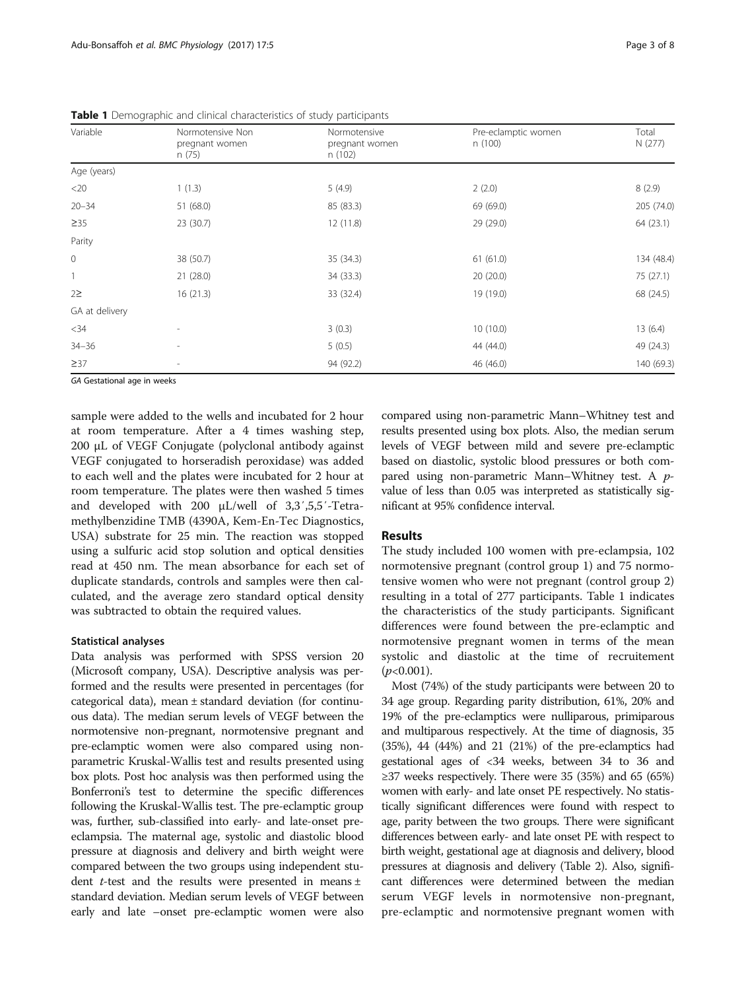| Variable       | Normotensive Non<br>pregnant women<br>n (75) | Normotensive<br>pregnant women<br>n (102) | Pre-eclamptic women<br>n (100) | Total<br>N (277) |
|----------------|----------------------------------------------|-------------------------------------------|--------------------------------|------------------|
| Age (years)    |                                              |                                           |                                |                  |
| $<$ 20         | 1(1.3)                                       | 2(2.0)<br>5(4.9)                          |                                | 8(2.9)           |
| $20 - 34$      | 51 (68.0)                                    | 85 (83.3)                                 | 69 (69.0)                      | 205 (74.0)       |
| $\geq$ 35      | 23 (30.7)                                    | 12(11.8)                                  | 29 (29.0)                      | 64 (23.1)        |
| Parity         |                                              |                                           |                                |                  |
| 0              | 38 (50.7)                                    | 35 (34.3)                                 | 61(61.0)                       | 134 (48.4)       |
|                | 21(28.0)                                     | 34 (33.3)                                 | 20(20.0)                       | 75 (27.1)        |
| $2\geq$        | 16(21.3)                                     | 33 (32.4)                                 | 19 (19.0)                      | 68 (24.5)        |
| GA at delivery |                                              |                                           |                                |                  |
| $<$ 34         |                                              | 3(0.3)                                    | 10(10.0)                       | 13(6.4)          |
| $34 - 36$      |                                              | 5(0.5)                                    | 44 (44.0)                      | 49 (24.3)        |
| $\geq$ 37      |                                              | 94 (92.2)                                 | 46 (46.0)                      | 140 (69.3)       |

<span id="page-2-0"></span>Table 1 Demographic and clinical characteristics of study participants

GA Gestational age in weeks

sample were added to the wells and incubated for 2 hour at room temperature. After a 4 times washing step, 200 μL of VEGF Conjugate (polyclonal antibody against VEGF conjugated to horseradish peroxidase) was added to each well and the plates were incubated for 2 hour at room temperature. The plates were then washed 5 times and developed with 200 μL/well of 3,3′,5,5′-Tetramethylbenzidine TMB (4390A, Kem-En-Tec Diagnostics, USA) substrate for 25 min. The reaction was stopped using a sulfuric acid stop solution and optical densities read at 450 nm. The mean absorbance for each set of duplicate standards, controls and samples were then calculated, and the average zero standard optical density was subtracted to obtain the required values.

# Statistical analyses

Data analysis was performed with SPSS version 20 (Microsoft company, USA). Descriptive analysis was performed and the results were presented in percentages (for categorical data), mean ± standard deviation (for continuous data). The median serum levels of VEGF between the normotensive non-pregnant, normotensive pregnant and pre-eclamptic women were also compared using nonparametric Kruskal-Wallis test and results presented using box plots. Post hoc analysis was then performed using the Bonferroni's test to determine the specific differences following the Kruskal-Wallis test. The pre-eclamptic group was, further, sub-classified into early- and late-onset preeclampsia. The maternal age, systolic and diastolic blood pressure at diagnosis and delivery and birth weight were compared between the two groups using independent student t-test and the results were presented in means ± standard deviation. Median serum levels of VEGF between early and late –onset pre-eclamptic women were also

compared using non-parametric Mann–Whitney test and results presented using box plots. Also, the median serum levels of VEGF between mild and severe pre-eclamptic based on diastolic, systolic blood pressures or both compared using non-parametric Mann–Whitney test. A pvalue of less than 0.05 was interpreted as statistically significant at 95% confidence interval.

# Results

The study included 100 women with pre-eclampsia, 102 normotensive pregnant (control group 1) and 75 normotensive women who were not pregnant (control group 2) resulting in a total of 277 participants. Table 1 indicates the characteristics of the study participants. Significant differences were found between the pre-eclamptic and normotensive pregnant women in terms of the mean systolic and diastolic at the time of recruitement  $(p<0.001)$ .

Most (74%) of the study participants were between 20 to 34 age group. Regarding parity distribution, 61%, 20% and 19% of the pre-eclamptics were nulliparous, primiparous and multiparous respectively. At the time of diagnosis, 35 (35%), 44 (44%) and 21 (21%) of the pre-eclamptics had gestational ages of <34 weeks, between 34 to 36 and  $\geq$ 37 weeks respectively. There were 35 (35%) and 65 (65%) women with early- and late onset PE respectively. No statistically significant differences were found with respect to age, parity between the two groups. There were significant differences between early- and late onset PE with respect to birth weight, gestational age at diagnosis and delivery, blood pressures at diagnosis and delivery (Table [2\)](#page-3-0). Also, significant differences were determined between the median serum VEGF levels in normotensive non-pregnant, pre-eclamptic and normotensive pregnant women with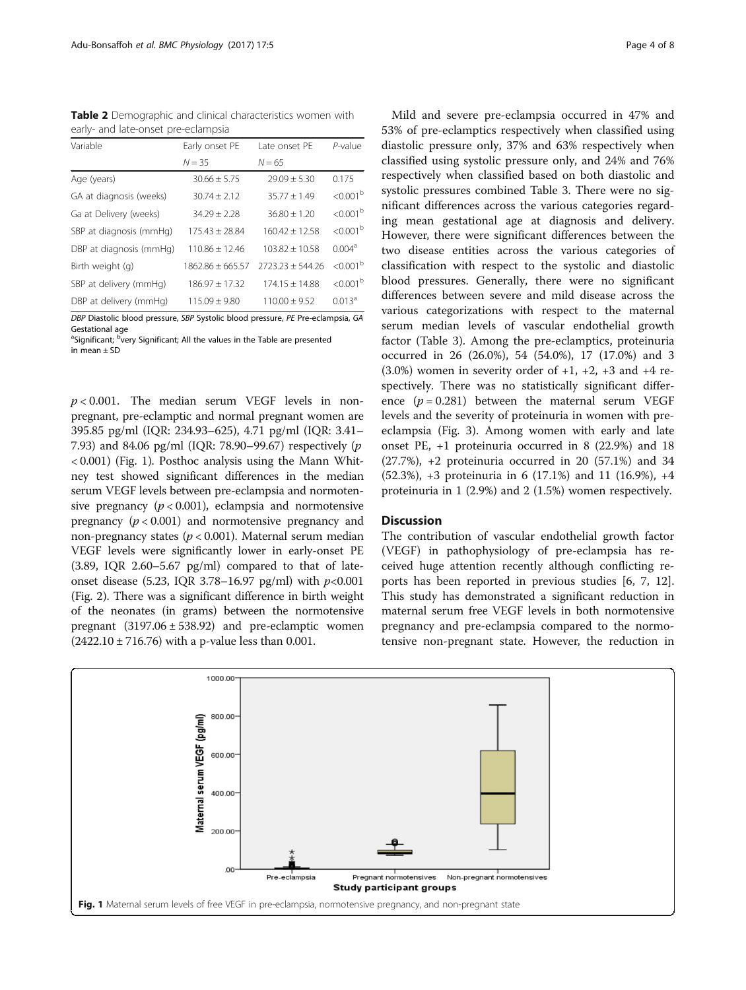<span id="page-3-0"></span>Table 2 Demographic and clinical characteristics women with early- and late-onset pre-eclampsia

| Variable                | Early onset PE     | Late onset PF      | $P$ -value           |  |
|-------------------------|--------------------|--------------------|----------------------|--|
|                         | $N = 35$           | $N = 65$           |                      |  |
| Age (years)             | $30.66 \pm 5.75$   | $79.09 + 5.30$     | 0.175                |  |
| GA at diagnosis (weeks) | $30.74 + 2.12$     | $35.77 \pm 1.49$   | < 0.001 <sup>b</sup> |  |
| Ga at Delivery (weeks)  | $34.29 + 2.28$     | $36.80 + 1.20$     | $< 0.001^{\rm b}$    |  |
| SBP at diagnosis (mmHg) | $175.43 \pm 28.84$ | $160.42 \pm 12.58$ | < 0.001 <sup>b</sup> |  |
| DBP at diagnosis (mmHg) | $110.86 + 12.46$   | $103.82 + 10.58$   | 0.004 <sup>a</sup>   |  |
| Birth weight (g)        | $1862.86 + 665.57$ | $2723.23 + 544.26$ | < 0.001 <sup>b</sup> |  |
| SBP at delivery (mmHg)  | $186.97 + 17.32$   | $174.15 + 14.88$   | < 0.001 <sup>b</sup> |  |
| DBP at delivery (mmHg)  | $115.09 + 9.80$    | $110.00 \pm 9.52$  | 0.013 <sup>a</sup>   |  |

DBP Diastolic blood pressure, SBP Systolic blood pressure, PE Pre-eclampsia, GA Gestational age

<sup>a</sup>Significant; <sup>b</sup>very Significant; All the values in the Table are presented in mean  $\pm$  SD

 $p < 0.001$ . The median serum VEGF levels in nonpregnant, pre-eclamptic and normal pregnant women are 395.85 pg/ml (IQR: 234.93–625), 4.71 pg/ml (IQR: 3.41– 7.93) and 84.06 pg/ml (IQR: 78.90–99.67) respectively (p  $(0.001)$  (Fig. 1). Posthoc analysis using the Mann Whitney test showed significant differences in the median serum VEGF levels between pre-eclampsia and normotensive pregnancy  $(p < 0.001)$ , eclampsia and normotensive pregnancy  $(p < 0.001)$  and normotensive pregnancy and non-pregnancy states ( $p < 0.001$ ). Maternal serum median VEGF levels were significantly lower in early-onset PE  $(3.89, IQR 2.60-5.67 pg/ml)$  compared to that of lateonset disease (5.23, IQR 3.78-16.97 pg/ml) with  $p<0.001$ (Fig. [2](#page-4-0)). There was a significant difference in birth weight of the neonates (in grams) between the normotensive pregnant  $(3197.06 \pm 538.92)$  and pre-eclamptic women  $(2422.10 \pm 716.76)$  with a p-value less than 0.001.

Mild and severe pre-eclampsia occurred in 47% and 53% of pre-eclamptics respectively when classified using diastolic pressure only, 37% and 63% respectively when classified using systolic pressure only, and 24% and 76% respectively when classified based on both diastolic and systolic pressures combined Table [3.](#page-4-0) There were no significant differences across the various categories regarding mean gestational age at diagnosis and delivery. However, there were significant differences between the two disease entities across the various categories of classification with respect to the systolic and diastolic blood pressures. Generally, there were no significant differences between severe and mild disease across the various categorizations with respect to the maternal serum median levels of vascular endothelial growth factor (Table [3](#page-4-0)). Among the pre-eclamptics, proteinuria occurred in 26 (26.0%), 54 (54.0%), 17 (17.0%) and 3  $(3.0\%)$  women in severity order of  $+1$ ,  $+2$ ,  $+3$  and  $+4$  respectively. There was no statistically significant difference  $(p = 0.281)$  between the maternal serum VEGF levels and the severity of proteinuria in women with preeclampsia (Fig. [3\)](#page-5-0). Among women with early and late onset PE, +1 proteinuria occurred in 8 (22.9%) and 18 (27.7%), +2 proteinuria occurred in 20 (57.1%) and 34 (52.3%), +3 proteinuria in 6 (17.1%) and 11 (16.9%), +4 proteinuria in 1 (2.9%) and 2 (1.5%) women respectively.

## **Discussion**

The contribution of vascular endothelial growth factor (VEGF) in pathophysiology of pre-eclampsia has received huge attention recently although conflicting reports has been reported in previous studies [\[6, 7, 12](#page-7-0)]. This study has demonstrated a significant reduction in maternal serum free VEGF levels in both normotensive pregnancy and pre-eclampsia compared to the normotensive non-pregnant state. However, the reduction in

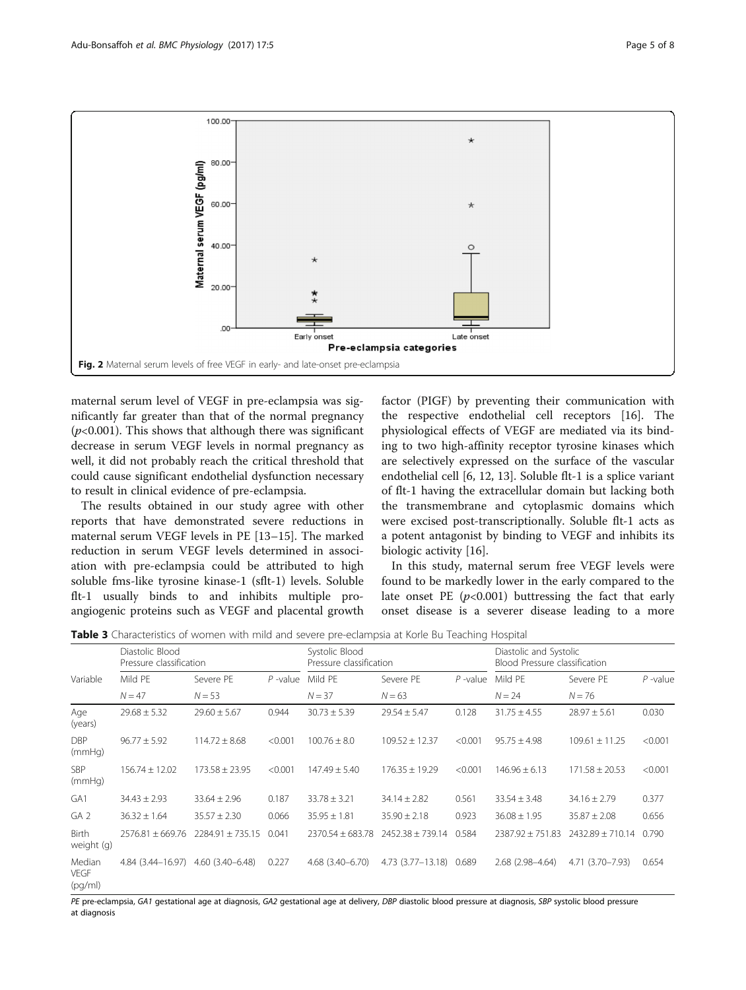<span id="page-4-0"></span>

maternal serum level of VEGF in pre-eclampsia was significantly far greater than that of the normal pregnancy ( $p$ <0.001). This shows that although there was significant decrease in serum VEGF levels in normal pregnancy as well, it did not probably reach the critical threshold that could cause significant endothelial dysfunction necessary to result in clinical evidence of pre-eclampsia.

The results obtained in our study agree with other reports that have demonstrated severe reductions in maternal serum VEGF levels in PE [\[13](#page-7-0)–[15\]](#page-7-0). The marked reduction in serum VEGF levels determined in association with pre-eclampsia could be attributed to high soluble fms-like tyrosine kinase-1 (sflt-1) levels. Soluble flt-1 usually binds to and inhibits multiple proangiogenic proteins such as VEGF and placental growth factor (PIGF) by preventing their communication with the respective endothelial cell receptors [\[16\]](#page-7-0). The physiological effects of VEGF are mediated via its binding to two high-affinity receptor tyrosine kinases which are selectively expressed on the surface of the vascular endothelial cell [[6, 12](#page-7-0), [13](#page-7-0)]. Soluble flt-1 is a splice variant of flt-1 having the extracellular domain but lacking both the transmembrane and cytoplasmic domains which were excised post-transcriptionally. Soluble flt-1 acts as a potent antagonist by binding to VEGF and inhibits its biologic activity [[16\]](#page-7-0).

In this study, maternal serum free VEGF levels were found to be markedly lower in the early compared to the late onset PE  $(p<0.001)$  buttressing the fact that early onset disease is a severer disease leading to a more

Table 3 Characteristics of women with mild and severe pre-eclampsia at Korle Bu Teaching Hospital

|                                  | Diastolic Blood<br>Pressure classification |                      |            | Systolic Blood<br>Pressure classification |                         |            | Diastolic and Systolic<br>Blood Pressure classification |                       |            |
|----------------------------------|--------------------------------------------|----------------------|------------|-------------------------------------------|-------------------------|------------|---------------------------------------------------------|-----------------------|------------|
| Variable                         | Mild PE                                    | Severe PE            | $P$ -value | Mild PE<br>$N = 37$                       | Severe PE<br>$N = 63$   | $P$ -value | Mild PE<br>$N = 24$                                     | Severe PE<br>$N = 76$ | $P$ -value |
|                                  | $N = 47$                                   | $N = 53$             |            |                                           |                         |            |                                                         |                       |            |
| Age<br>(years)                   | $29.68 \pm 5.32$                           | $29.60 \pm 5.67$     | 0.944      | $30.73 \pm 5.39$                          | $29.54 \pm 5.47$        | 0.128      | $31.75 \pm 4.55$                                        | $28.97 \pm 5.61$      | 0.030      |
| <b>DBP</b><br>(mmHq)             | $96.77 \pm 5.92$                           | $114.72 \pm 8.68$    | < 0.001    | $100.76 \pm 8.0$                          | $109.52 \pm 12.37$      | < 0.001    | $95.75 \pm 4.98$                                        | $109.61 \pm 11.25$    | < 0.001    |
| SBP<br>(mmHq)                    | $156.74 \pm 12.02$                         | $173.58 \pm 23.95$   | < 0.001    | $147.49 \pm 5.40$                         | $176.35 \pm 19.29$      | < 0.001    | $146.96 \pm 6.13$                                       | $171.58 \pm 20.53$    | < 0.001    |
| GA1                              | $34.43 \pm 2.93$                           | $33.64 \pm 2.96$     | 0.187      | $33.78 \pm 3.21$                          | $34.14 \pm 2.82$        | 0.561      | $33.54 \pm 3.48$                                        | $34.16 \pm 2.79$      | 0.377      |
| GA <sub>2</sub>                  | $36.32 \pm 1.64$                           | $35.57 \pm 2.30$     | 0.066      | $35.95 \pm 1.81$                          | $35.90 \pm 2.18$        | 0.923      | $36.08 \pm 1.95$                                        | $35.87 \pm 2.08$      | 0.656      |
| <b>Birth</b><br>weight (g)       | $2576.81 \pm 669.76$                       | $2284.91 \pm 735.15$ | 0.041      | $2370.54 \pm 683.78$                      | $2452.38 \pm 739.14$    | 0.584      | $2387.92 \pm 751.83$                                    | $2432.89 \pm 710.14$  | 0.790      |
| Median<br><b>VEGF</b><br>(pq/ml) | 4.84 (3.44-16.97)                          | $4.60(3.40 - 6.48)$  | 0.227      | $4.68$ $(3.40 - 6.70)$                    | 4.73 (3.77-13.18) 0.689 |            | 2.68 (2.98-4.64)                                        | 4.71 (3.70-7.93)      | 0.654      |

PE pre-eclampsia, GA1 gestational age at diagnosis, GA2 gestational age at delivery, DBP diastolic blood pressure at diagnosis, SBP systolic blood pressure at diagnosis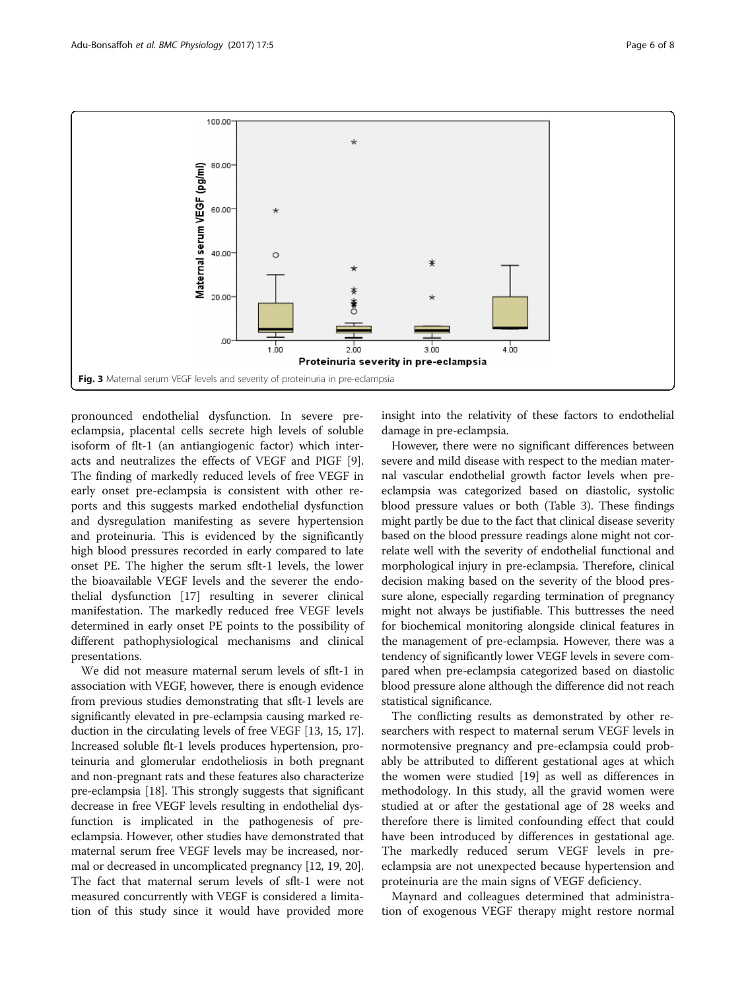<span id="page-5-0"></span>

pronounced endothelial dysfunction. In severe preeclampsia, placental cells secrete high levels of soluble isoform of flt-1 (an antiangiogenic factor) which interacts and neutralizes the effects of VEGF and PIGF [\[9](#page-7-0)]. The finding of markedly reduced levels of free VEGF in early onset pre-eclampsia is consistent with other reports and this suggests marked endothelial dysfunction and dysregulation manifesting as severe hypertension and proteinuria. This is evidenced by the significantly high blood pressures recorded in early compared to late onset PE. The higher the serum sflt-1 levels, the lower the bioavailable VEGF levels and the severer the endothelial dysfunction [\[17\]](#page-7-0) resulting in severer clinical manifestation. The markedly reduced free VEGF levels determined in early onset PE points to the possibility of different pathophysiological mechanisms and clinical presentations.

We did not measure maternal serum levels of sflt-1 in association with VEGF, however, there is enough evidence from previous studies demonstrating that sflt-1 levels are significantly elevated in pre-eclampsia causing marked reduction in the circulating levels of free VEGF [\[13, 15, 17](#page-7-0)]. Increased soluble flt-1 levels produces hypertension, proteinuria and glomerular endotheliosis in both pregnant and non-pregnant rats and these features also characterize pre-eclampsia [[18\]](#page-7-0). This strongly suggests that significant decrease in free VEGF levels resulting in endothelial dysfunction is implicated in the pathogenesis of preeclampsia. However, other studies have demonstrated that maternal serum free VEGF levels may be increased, normal or decreased in uncomplicated pregnancy [[12, 19, 20](#page-7-0)]. The fact that maternal serum levels of sflt-1 were not measured concurrently with VEGF is considered a limitation of this study since it would have provided more

insight into the relativity of these factors to endothelial damage in pre-eclampsia.

However, there were no significant differences between severe and mild disease with respect to the median maternal vascular endothelial growth factor levels when preeclampsia was categorized based on diastolic, systolic blood pressure values or both (Table [3\)](#page-4-0). These findings might partly be due to the fact that clinical disease severity based on the blood pressure readings alone might not correlate well with the severity of endothelial functional and morphological injury in pre-eclampsia. Therefore, clinical decision making based on the severity of the blood pressure alone, especially regarding termination of pregnancy might not always be justifiable. This buttresses the need for biochemical monitoring alongside clinical features in the management of pre-eclampsia. However, there was a tendency of significantly lower VEGF levels in severe compared when pre-eclampsia categorized based on diastolic blood pressure alone although the difference did not reach statistical significance.

The conflicting results as demonstrated by other researchers with respect to maternal serum VEGF levels in normotensive pregnancy and pre-eclampsia could probably be attributed to different gestational ages at which the women were studied [[19\]](#page-7-0) as well as differences in methodology. In this study, all the gravid women were studied at or after the gestational age of 28 weeks and therefore there is limited confounding effect that could have been introduced by differences in gestational age. The markedly reduced serum VEGF levels in preeclampsia are not unexpected because hypertension and proteinuria are the main signs of VEGF deficiency.

Maynard and colleagues determined that administration of exogenous VEGF therapy might restore normal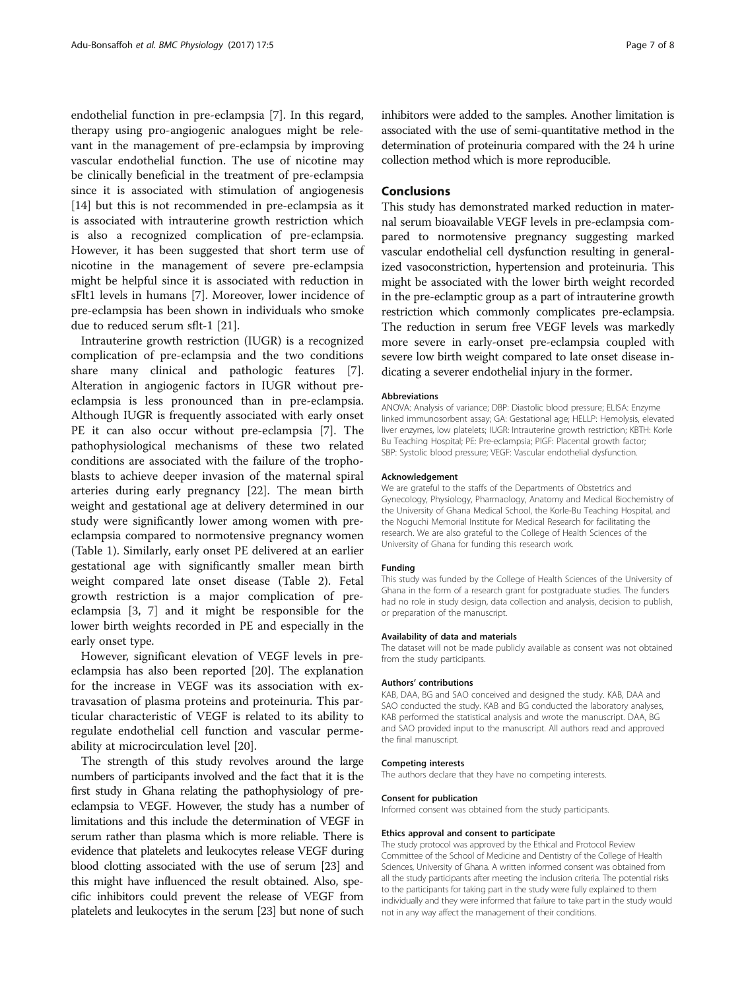endothelial function in pre-eclampsia [\[7\]](#page-7-0). In this regard, therapy using pro-angiogenic analogues might be relevant in the management of pre-eclampsia by improving vascular endothelial function. The use of nicotine may be clinically beneficial in the treatment of pre-eclampsia since it is associated with stimulation of angiogenesis [[14\]](#page-7-0) but this is not recommended in pre-eclampsia as it is associated with intrauterine growth restriction which is also a recognized complication of pre-eclampsia. However, it has been suggested that short term use of nicotine in the management of severe pre-eclampsia might be helpful since it is associated with reduction in sFlt1 levels in humans [[7\]](#page-7-0). Moreover, lower incidence of pre-eclampsia has been shown in individuals who smoke due to reduced serum sflt-1 [\[21](#page-7-0)].

Intrauterine growth restriction (IUGR) is a recognized complication of pre-eclampsia and the two conditions share many clinical and pathologic features [\[7](#page-7-0)]. Alteration in angiogenic factors in IUGR without preeclampsia is less pronounced than in pre-eclampsia. Although IUGR is frequently associated with early onset PE it can also occur without pre-eclampsia [\[7](#page-7-0)]. The pathophysiological mechanisms of these two related conditions are associated with the failure of the trophoblasts to achieve deeper invasion of the maternal spiral arteries during early pregnancy [\[22](#page-7-0)]. The mean birth weight and gestational age at delivery determined in our study were significantly lower among women with preeclampsia compared to normotensive pregnancy women (Table [1](#page-2-0)). Similarly, early onset PE delivered at an earlier gestational age with significantly smaller mean birth weight compared late onset disease (Table [2\)](#page-3-0). Fetal growth restriction is a major complication of preeclampsia [[3](#page-7-0), [7](#page-7-0)] and it might be responsible for the lower birth weights recorded in PE and especially in the early onset type.

However, significant elevation of VEGF levels in preeclampsia has also been reported [[20\]](#page-7-0). The explanation for the increase in VEGF was its association with extravasation of plasma proteins and proteinuria. This particular characteristic of VEGF is related to its ability to regulate endothelial cell function and vascular permeability at microcirculation level [[20\]](#page-7-0).

The strength of this study revolves around the large numbers of participants involved and the fact that it is the first study in Ghana relating the pathophysiology of preeclampsia to VEGF. However, the study has a number of limitations and this include the determination of VEGF in serum rather than plasma which is more reliable. There is evidence that platelets and leukocytes release VEGF during blood clotting associated with the use of serum [\[23\]](#page-7-0) and this might have influenced the result obtained. Also, specific inhibitors could prevent the release of VEGF from platelets and leukocytes in the serum [\[23\]](#page-7-0) but none of such

inhibitors were added to the samples. Another limitation is associated with the use of semi-quantitative method in the determination of proteinuria compared with the 24 h urine collection method which is more reproducible.

# **Conclusions**

This study has demonstrated marked reduction in maternal serum bioavailable VEGF levels in pre-eclampsia compared to normotensive pregnancy suggesting marked vascular endothelial cell dysfunction resulting in generalized vasoconstriction, hypertension and proteinuria. This might be associated with the lower birth weight recorded in the pre-eclamptic group as a part of intrauterine growth restriction which commonly complicates pre-eclampsia. The reduction in serum free VEGF levels was markedly more severe in early-onset pre-eclampsia coupled with severe low birth weight compared to late onset disease indicating a severer endothelial injury in the former.

#### Abbreviations

ANOVA: Analysis of variance; DBP: Diastolic blood pressure; ELISA: Enzyme linked immunosorbent assay; GA: Gestational age; HELLP: Hemolysis, elevated liver enzymes, low platelets; IUGR: Intrauterine growth restriction; KBTH: Korle Bu Teaching Hospital; PE: Pre-eclampsia; PIGF: Placental growth factor; SBP: Systolic blood pressure; VEGF: Vascular endothelial dysfunction.

#### Acknowledgement

We are grateful to the staffs of the Departments of Obstetrics and Gynecology, Physiology, Pharmaology, Anatomy and Medical Biochemistry of the University of Ghana Medical School, the Korle-Bu Teaching Hospital, and the Noguchi Memorial Institute for Medical Research for facilitating the research. We are also grateful to the College of Health Sciences of the University of Ghana for funding this research work.

#### Funding

This study was funded by the College of Health Sciences of the University of Ghana in the form of a research grant for postgraduate studies. The funders had no role in study design, data collection and analysis, decision to publish, or preparation of the manuscript.

#### Availability of data and materials

The dataset will not be made publicly available as consent was not obtained from the study participants.

#### Authors' contributions

KAB, DAA, BG and SAO conceived and designed the study. KAB, DAA and SAO conducted the study. KAB and BG conducted the laboratory analyses, KAB performed the statistical analysis and wrote the manuscript. DAA, BG and SAO provided input to the manuscript. All authors read and approved the final manuscript.

#### Competing interests

The authors declare that they have no competing interests.

#### Consent for publication

Informed consent was obtained from the study participants.

#### Ethics approval and consent to participate

The study protocol was approved by the Ethical and Protocol Review Committee of the School of Medicine and Dentistry of the College of Health Sciences, University of Ghana. A written informed consent was obtained from all the study participants after meeting the inclusion criteria. The potential risks to the participants for taking part in the study were fully explained to them individually and they were informed that failure to take part in the study would not in any way affect the management of their conditions.